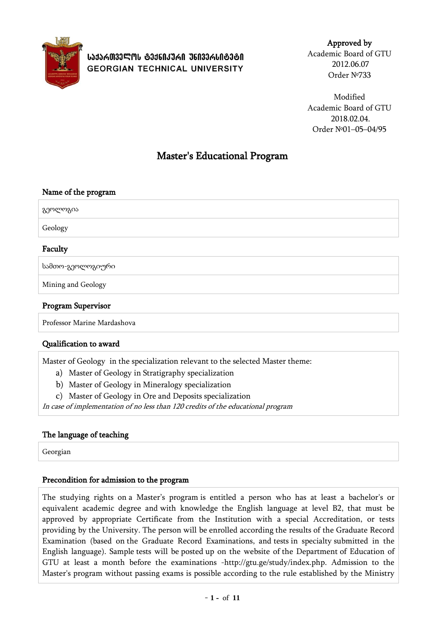

# **ᲡᲐᲥᲐᲠᲗᲕᲔᲚᲝᲡ ᲢᲔᲥᲜᲘᲙᲣᲠᲘ ᲣᲜᲘᲕᲔᲠᲡᲘᲢᲔᲢᲘ GEORGIAN TECHNICAL UNIVERSITY**

Approved by Academic Board of GTU 2012.06.07 Order №733

Modified Academic Board of GTU 2018.02.04. Order №01–05–04/95

# Master's Educational Program

## Name of the program

გეოლოგია

Geology

## Faculty

სამთო-გეოლოგიური

Mining and Geology

## Program Supervisor

Professor Marine Mardashova

## Qualification to award

Master of Geology in the specialization relevant to the selected Master theme:

a) Master of Geology in Stratigraphy specialization

- b) Master of Geology in Mineralogy specialization
- c) Master of Geology in Ore and Deposits specialization

In case of implementation of no less than 120 credits of the educational program

## The language of teaching

Georgian

## Precondition for admission to the program

The studying rights on a Master's program is entitled a person who has at least a bachelor's or equivalent academic degree and with knowledge the English language at level B2, that must be approved by appropriate Certificate from the Institution with a special Accreditation, or tests providing by the University. The person will be enrolled according the results of the Graduate Record Examination (based on the Graduate Record Examinations, and tests in specialty submitted in the English language). Sample tests will be posted up on the website of the Department of Education of GTU at least a month before the examinations -http://gtu.ge/study/index.php. Admission to the Master's program without passing exams is possible according to the rule established by the Ministry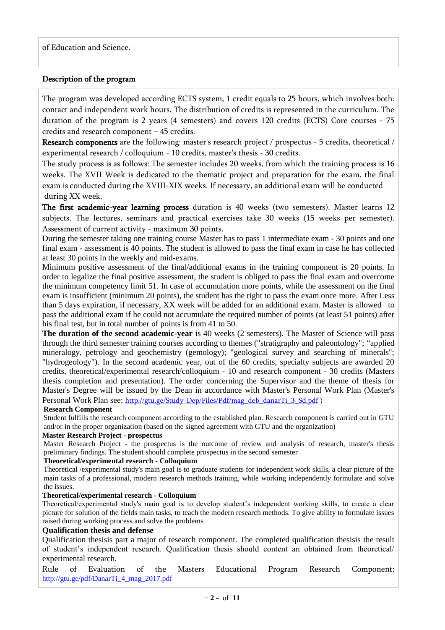## Description of the program

The program was developed according ECTS system, 1 credit equals to 25 hours, which involves both: contact and independent work hours. The distribution of credits is represented in the curriculum. The duration of the program is 2 years (4 semesters) and covers 120 credits (ECTS) Core courses - 75 credits and research component – 45 credits.

Research components are the following: master's research project / prospectus - 5 credits, theoretical / experimental research / colloquium - 10 credits, master's thesis - 30 credits.

The study process is as follows: The semester includes 20 weeks, from which the training process is 16 weeks. The XVII Week is dedicated to the thematic project and preparation for the exam, the final exam is conducted during the XVIII-XIX weeks. If necessary, an additional exam will be conducted during XX week.

The first academic-year learning process duration is 40 weeks (two semesters). Master learns 12 subjects. The lectures, seminars and practical exercises take 30 weeks (15 weeks per semester). Assessment of current activity - maximum 30 points.

During the semester taking one training course Master has to pass 1 intermediate exam - 30 points and one final exam - assessment is 40 points. The student is allowed to pass the final exam in case he has collected at least 30 points in the weekly and mid-exams.

Minimum positive assessment of the final/additional exams in the training component is 20 points. In order to legalize the final positive assessment, the student is obliged to pass the final exam and overcome the minimum competency limit 51. In case of accumulation more points, while the assessment on the final exam is insufficient (minimum 20 points), the student has the right to pass the exam once more. After Less than 5 days expiration, if necessary, XX week will be added for an additional exam. Master is allowed to pass the additional exam if he could not accumulate the required number of points (at least 51 points) after his final test, but in total number of points is from 41 to 50.

**The duration of the second academic-year** is 40 weeks (2 semesters). The Master of Science will pass through the third semester training courses according to themes ("stratigraphy and paleontology"; "applied mineralogy, petrology and geochemistry (gemology); "geological survey and searching of minerals"; "hydrogeology"). In the second academic year, out of the 60 credits, specialty subjects are awarded 20 credits, theoretical/experimental research/colloquium - 10 and research component - 30 credits (Masters thesis completion and presentation). The order concerning the Supervisor and the theme of thesis for Master's Degree will be issued by the Dean in accordance with Master's Personal Work Plan (Master's Personal Work Plan see: [http://gtu.ge/Study-Dep/Files/Pdf/mag\\_deb\\_danarTi\\_3\\_Sd.pdf](http://gtu.ge/Study-Dep/Files/Pdf/mag_deb_danarTi_3_Sd.pdf) )

#### **Research Component**

Student fulfills the research component according to the established plan. Research component is carried out in GTU and/or in the proper organization (based on the signed agreement with GTU and the organization)

#### **Master Research Project - prospectus**

Master Research Project - the prospectus is the outcome of review and analysis of research, master's thesis preliminary findings. The student should complete prospectus in the second semester

#### **Theoretical/experimental research - Colloquium**

Theoretical /experimental study's main goal is to graduate students for independent work skills, a clear picture of the main tasks of a professional, modern research methods training, while working independently formulate and solve the issues.

#### **Theoretical/experimental research - Colloquium**

Theoretical/experimental study's main goal is to develop student's independent working skills, to create a clear picture for solution of the fields main tasks, to teach the modern research methods. To give ability to formulate issues raised during working process and solve the problems

## **Qualification thesis and defense**

Qualification thesisis part a major of research component. The completed qualification thesisis the result of student's independent research. Qualification thesis should content an obtained from theoretical/ experimental research.

Rule of Evaluation of the Masters Educational Program Research Component: [http://gtu.ge/pdf/DanarTi\\_4\\_mag\\_2017.pdf](http://gtu.ge/pdf/DanarTi_4_mag_2017.pdf)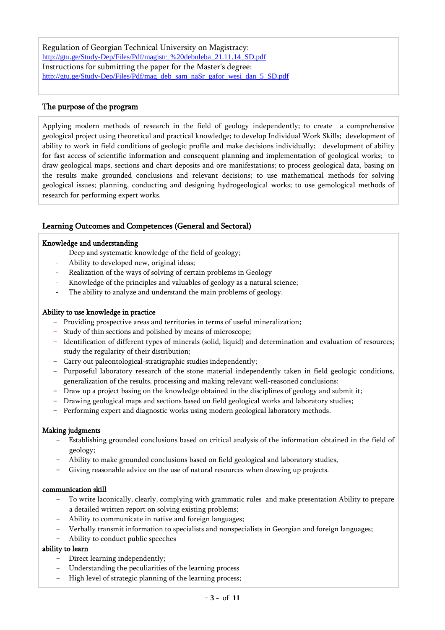Regulation of Georgian Technical University on Magistracy: [http://gtu.ge/Study-Dep/Files/Pdf/magistr\\_%20debuleba\\_21.11.14\\_SD.pdf](http://gtu.ge/Study-Dep/Files/Pdf/magistr_%20debuleba_21.11.14_SD.pdf) Instructions for submitting the paper for the Master's degree: [http://gtu.ge/Study-Dep/Files/Pdf/mag\\_deb\\_sam\\_naSr\\_gafor\\_wesi\\_dan\\_5\\_SD.pdf](http://gtu.ge/Study-Dep/Files/Pdf/mag_deb_sam_naSr_gafor_wesi_dan_5_SD.pdf)

## The purpose of the program

Applying modern methods of research in the field of geology independently; to create a comprehensive geological project using theoretical and practical knowledge; to develop Individual Work Skills; development of ability to work in field conditions of geologic profile and make decisions individually; development of ability for fast-access of scientific information and consequent planning and implementation of geological works; to draw geological maps, sections and chart deposits and ore manifestations; to process geological data, basing on the results make grounded conclusions and relevant decisions; to use mathematical methods for solving geological issues; planning, conducting and designing hydrogeological works; to use gemological methods of research for performing expert works.

## Learning Outcomes and Competences (General and Sectoral)

#### Knowledge and understanding

- Deep and systematic knowledge of the field of geology;
- Ability to developed new, original ideas;
- Realization of the ways of solving of certain problems in Geology
- Knowledge of the principles and valuables of geology as a natural science;
- The ability to analyze and understand the main problems of geology.

#### Ability to use knowledge in practice

- Providing prospective areas and territories in terms of useful mineralization;
- Study of thin sections and polished by means of microscope;
- Identification of different types of minerals (solid, liquid) and determination and evaluation of resources; study the regularity of their distribution;
- Carry out paleontological-stratigraphic studies independently;
- Purposeful laboratory research of the stone material independently taken in field geologic conditions, generalization of the results, processing and making relevant well-reasoned conclusions;
- Draw up a project basing on the knowledge obtained in the disciplines of geology and submit it;
- Drawing geological maps and sections based on field geological works and laboratory studies;
- Performing expert and diagnostic works using modern geological laboratory methods.

#### Making judgments

- Establishing grounded conclusions based on critical analysis of the information obtained in the field of geology;
- Ability to make grounded conclusions based on field geological and laboratory studies,
- Giving reasonable advice on the use of natural resources when drawing up projects.

#### communication skill

- To write laconically, clearly, complying with grammatic rules and make presentation Ability to prepare a detailed written report on solving existing problems;
- Ability to communicate in native and foreign languages;
- Verbally transmit information to specialists and nonspecialists in Georgian and foreign languages;
- Ability to conduct public speeches

#### ability to learn

- Direct learning independently;
- Understanding the peculiarities of the learning process
- High level of strategic planning of the learning process;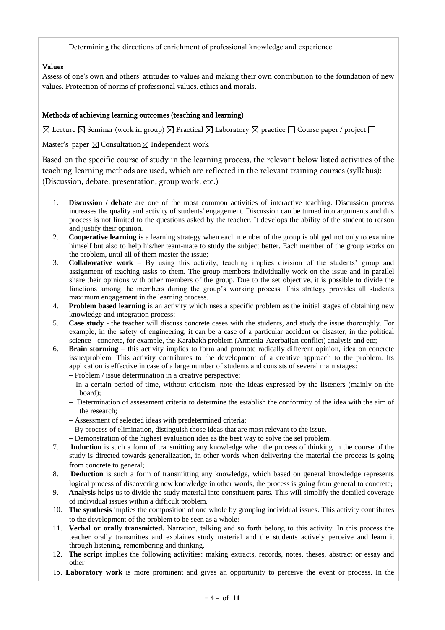- Determining the directions of enrichment of professional knowledge and experience

## Values

Assess of one's own and others' attitudes to values and making their own contribution to the foundation of new values. Protection of norms of professional values, ethics and morals.

### Methods of achieving learning outcomes (teaching and learning)

 $\boxtimes$  Lecture  $\boxtimes$  Seminar (work in group)  $\boxtimes$  Practical  $\boxtimes$  Laboratory  $\boxtimes$  practice  $\Box$  Course paper / project  $\Box$ 

Master's paper  $\boxtimes$  Consultation $\boxtimes$  Independent work

Based on the specific course of study in the learning process, the relevant below listed activities of the teaching-learning methods are used, which are reflected in the relevant training courses (syllabus): (Discussion, debate, presentation, group work, etc.)

- 1. **Discussion / debate** are one of the most common activities of interactive teaching. Discussion process increases the quality and activity of students' engagement. Discussion can be turned into arguments and this process is not limited to the questions asked by the teacher. It develops the ability of the student to reason and justify their opinion.
- 2. **Cooperative learning** is a learning strategy when each member of the group is obliged not only to examine himself but also to help his/her team-mate to study the subject better. Each member of the group works on the problem, until all of them master the issue;
- 3. **Collaborative work** By using this activity, teaching implies division of the students' group and assignment of teaching tasks to them. The group members individually work on the issue and in parallel share their opinions with other members of the group. Due to the set objective, it is possible to divide the functions among the members during the group's working process. This strategy provides all students maximum engagement in the learning process.
- 4. **Problem based learning** is an activity which uses a specific problem as the initial stages of obtaining new knowledge and integration process;
- 5. **Case study** the teacher will discuss concrete cases with the students, and study the issue thoroughly. For example, in the safety of engineering, it can be a case of a particular accident or disaster, in the political science - concrete, for example, the Karabakh problem (Armenia-Azerbaijan conflict) analysis and etc;
- 6. **Brain storming** this activity implies to form and promote radically different opinion, idea on concrete issue/problem. This activity contributes to the development of a creative approach to the problem. Its application is effective in case of a large number of students and consists of several main stages:

- Problem / issue determination in a creative perspective;

- In a certain period of time, without criticism, note the ideas expressed by the listeners (mainly on the board);
- Determination of assessment criteria to determine the establish the conformity of the idea with the aim of the research;
- Assessment of selected ideas with predetermined criteria;
- By process of elimination, distinguish those ideas that are most relevant to the issue.
- Demonstration of the highest evaluation idea as the best way to solve the set problem.
- 7. **Induction** is such a form of transmitting any knowledge when the process of thinking in the course of the study is directed towards generalization, in other words when delivering the material the process is going from concrete to general;
- 8. **Deduction** is such a form of transmitting any knowledge, which based on general knowledge represents logical process of discovering new knowledge in other words, the process is going from general to concrete;
- 9. **Analysis** helps us to divide the study material into constituent parts. This will simplify the detailed coverage of individual issues within a difficult problem.
- 10. **The synthesis** implies the composition of one whole by grouping individual issues. This activity contributes to the development of the problem to be seen as a whole;
- 11. **Verbal or orally transmitted.** Narration, talking and so forth belong to this activity. In this process the teacher orally transmittes and explaines study material and the students actively perceive and learn it through listening, remembering and thinking.
- 12. **The script** implies the following activities: making extracts, records, notes, theses, abstract or essay and other
- 15. **Laboratory work** is more prominent and gives an opportunity to perceive the event or process. In the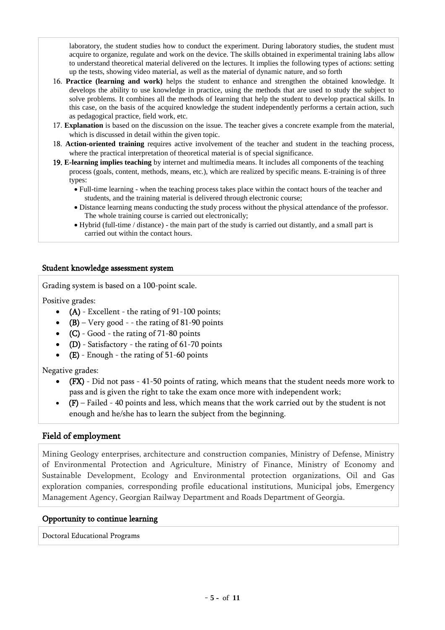laboratory, the student studies how to conduct the experiment. During laboratory studies, the student must acquire to organize, regulate and work on the device. The skills obtained in experimental training labs allow to understand theoretical material delivered on the lectures. It implies the following types of actions: setting up the tests, showing video material, as well as the material of dynamic nature, and so forth

- 16. **Practice (learning and work)** helps the student to enhance and strengthen the obtained knowledge. It develops the ability to use knowledge in practice, using the methods that are used to study the subject to solve problems. It combines all the methods of learning that help the student to develop practical skills. In this case, on the basis of the acquired knowledge the student independently performs a certain action, such as pedagogical practice, field work, etc.
- 17. **Explanation** is based on the discussion on the issue. The teacher gives a concrete example from the material, which is discussed in detail within the given topic.
- 18. **Action-oriented training** requires active involvement of the teacher and student in the teaching process, where the practical interpretation of theoretical material is of special significance.
- 19. **E-learning implies teaching** by internet and multimedia means. It includes all components of the teaching process (goals, content, methods, means, etc.), which are realized by specific means. E-training is of three types:
	- Full-time learning when the teaching process takes place within the contact hours of the teacher and students, and the training material is delivered through electronic course;
	- Distance learning means conducting the study process without the physical attendance of the professor. The whole training course is carried out electronically;
	- Hybrid (full-time / distance) the main part of the study is carried out distantly, and a small part is carried out within the contact hours.

## Student knowledge assessment system

Grading system is based on a 100-point scale.

Positive grades:

- $\bullet$  (A) Excellent the rating of 91-100 points;
- $(B)$  Very good - the rating of 81-90 points
- $(C)$  Good the rating of 71-80 points
- $\bullet$  (D) Satisfactory the rating of 61-70 points
- $(E)$  Enough the rating of 51-60 points

Negative grades:

- (FX) Did not pass 41-50 points of rating, which means that the student needs more work to pass and is given the right to take the exam once more with independent work;
- (F) Failed 40 points and less, which means that the work carried out by the student is not enough and he/she has to learn the subject from the beginning.

## Field of employment

Mining Geology enterprises, architecture and construction companies, Ministry of Defense, Ministry of Environmental Protection and Agriculture, Ministry of Finance, Ministry of Economy and Sustainable Development, Ecology and Environmental protection organizations, Oil and Gas exploration companies, corresponding profile educational institutions, Municipal jobs, Emergency Management Agency, Georgian Railway Department and Roads Department of Georgia.

### Opportunity to continue learning

Doctoral Educational Programs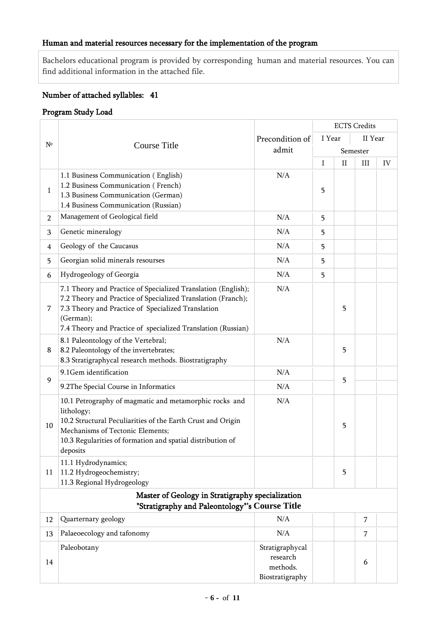## Human and material resources necessary for the implementation of the program

Bachelors educational program is provided by corresponding human and material resources. You can find additional information in the attached file.

## Number of attached syllables: 41

## Program Study Load

|                |                                                                                                                                                                                                                                                                  |                                                            |        | <b>ECTS</b> Credits |          |    |  |
|----------------|------------------------------------------------------------------------------------------------------------------------------------------------------------------------------------------------------------------------------------------------------------------|------------------------------------------------------------|--------|---------------------|----------|----|--|
| $N^{\circ}$    |                                                                                                                                                                                                                                                                  | Precondition of                                            | I Year | II Year             |          |    |  |
|                | <b>Course Title</b>                                                                                                                                                                                                                                              | admit                                                      |        |                     | Semester |    |  |
|                |                                                                                                                                                                                                                                                                  |                                                            | I      | $_{\rm II}$         | Ш        | IV |  |
| $\mathbf{1}$   | 1.1 Business Communication (English)<br>1.2 Business Communication (French)<br>1.3 Business Communication (German)<br>1.4 Business Communication (Russian)                                                                                                       | N/A                                                        | 5      |                     |          |    |  |
| $\overline{2}$ | Management of Geological field                                                                                                                                                                                                                                   | N/A                                                        | 5      |                     |          |    |  |
| 3              | Genetic mineralogy                                                                                                                                                                                                                                               | N/A                                                        | 5      |                     |          |    |  |
| 4              | Geology of the Caucasus                                                                                                                                                                                                                                          | N/A                                                        | 5      |                     |          |    |  |
| 5              | Georgian solid minerals resourses                                                                                                                                                                                                                                | N/A                                                        | 5      |                     |          |    |  |
| 6              | Hydrogeology of Georgia                                                                                                                                                                                                                                          | N/A                                                        | 5      |                     |          |    |  |
| 7              | 7.1 Theory and Practice of Specialized Translation (English);<br>7.2 Theory and Practice of Specialized Translation (Franch);<br>7.3 Theory and Practice of Specialized Translation<br>(German);<br>7.4 Theory and Practice of specialized Translation (Russian) | N/A                                                        |        | 5                   |          |    |  |
| 8              | 8.1 Paleontology of the Vertebral;<br>8.2 Paleontology of the invertebrates;<br>8.3 Stratigraphycal research methods. Biostratigraphy                                                                                                                            | N/A                                                        |        | 5                   |          |    |  |
|                | 9.1Gem identification                                                                                                                                                                                                                                            | N/A                                                        |        |                     |          |    |  |
| $\mathbf{9}$   | 9.2The Special Course in Informatics                                                                                                                                                                                                                             | N/A                                                        |        | 5                   |          |    |  |
| 10             | 10.1 Petrography of magmatic and metamorphic rocks and<br>lithology;<br>10.2 Structural Peculiarities of the Earth Crust and Origin<br>Mechanisms of Tectonic Elements;<br>10.3 Regularities of formation and spatial distribution of<br>deposits                | N/A                                                        |        | 5                   |          |    |  |
| 11             | 11.1 Hydrodynamics;<br>11.2 Hydrogeochemistry;<br>11.3 Regional Hydrogeology                                                                                                                                                                                     |                                                            |        | 5                   |          |    |  |
|                | Master of Geology in Stratigraphy specialization                                                                                                                                                                                                                 |                                                            |        |                     |          |    |  |
|                | "Stratigraphy and Paleontology"'s Course Title                                                                                                                                                                                                                   |                                                            |        |                     |          |    |  |
| 12             | Quarternary geology                                                                                                                                                                                                                                              | N/A                                                        |        |                     | 7        |    |  |
| 13             | Palaeoecology and tafonomy                                                                                                                                                                                                                                       | N/A                                                        |        |                     | 7        |    |  |
| 14             | Paleobotany                                                                                                                                                                                                                                                      | Stratigraphycal<br>research<br>methods.<br>Biostratigraphy |        |                     | 6        |    |  |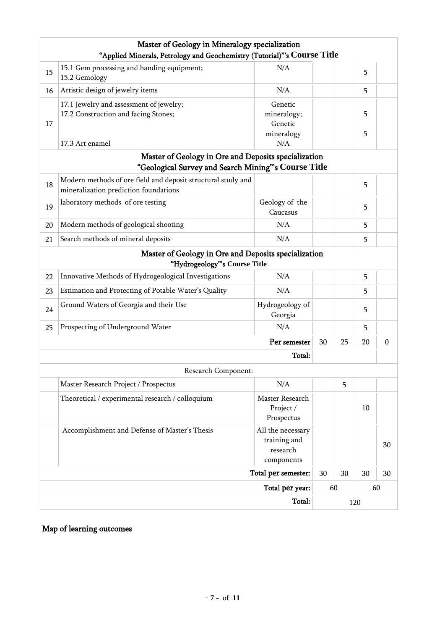|    | Master of Geology in Mineralogy specialization<br>"Applied Minerals, Petrology and Geochemistry (Tutorial)"'s Course Title |                                                             |    |     |        |                  |
|----|----------------------------------------------------------------------------------------------------------------------------|-------------------------------------------------------------|----|-----|--------|------------------|
| 15 | 15.1 Gem processing and handing equipment;<br>15.2 Gemology                                                                | N/A                                                         |    |     | 5      |                  |
| 16 | Artistic design of jewelry items                                                                                           | N/A                                                         |    |     | 5      |                  |
| 17 | 17.1 Jewelry and assessment of jewelry;<br>17.2 Construction and facing Stones;<br>17.3 Art enamel                         | Genetic<br>mineralogy;<br>Genetic<br>mineralogy<br>N/A      |    |     | 5<br>5 |                  |
|    | Master of Geology in Ore and Deposits specialization                                                                       |                                                             |    |     |        |                  |
|    | "Geological Survey and Search Mining"'s Course Title                                                                       |                                                             |    |     |        |                  |
| 18 | Modern methods of ore field and deposit structural study and<br>mineralization prediction foundations                      |                                                             |    |     | 5      |                  |
| 19 | laboratory methods of ore testing                                                                                          | Geology of the<br>Caucasus                                  |    |     | 5      |                  |
| 20 | Modern methods of geological shooting                                                                                      | N/A                                                         |    |     | 5      |                  |
| 21 | Search methods of mineral deposits                                                                                         | N/A                                                         |    |     | 5      |                  |
|    | Master of Geology in Ore and Deposits specialization                                                                       |                                                             |    |     |        |                  |
|    | "Hydrogeology"'s Course Title                                                                                              |                                                             |    |     |        |                  |
| 22 | Innovative Methods of Hydrogeological Investigations                                                                       | N/A                                                         |    |     | 5      |                  |
| 23 | Estimation and Protecting of Potable Water's Quality                                                                       | N/A                                                         |    |     | 5      |                  |
| 24 | Ground Waters of Georgia and their Use                                                                                     | Hydrogeology of<br>Georgia                                  |    |     | 5      |                  |
| 25 | Prospecting of Underground Water                                                                                           | N/A                                                         |    |     | 5      |                  |
|    |                                                                                                                            | Per semester                                                | 30 | 25  | 20     | $\boldsymbol{0}$ |
|    |                                                                                                                            | Total:                                                      |    |     |        |                  |
|    | Research Component:                                                                                                        |                                                             |    |     |        |                  |
|    | Master Research Project / Prospectus                                                                                       | N/A                                                         |    | 5   |        |                  |
|    | Theoretical / experimental research / colloquium                                                                           | Master Research<br>Project /<br>Prospectus                  |    |     | 10     |                  |
|    | Accomplishment and Defense of Master's Thesis                                                                              | All the necessary<br>training and<br>research<br>components |    |     |        | 30               |
|    |                                                                                                                            | Total per semester:                                         | 30 | 30  | 30     | 30               |
|    |                                                                                                                            | Total per year:                                             |    | 60  |        | 60               |
|    |                                                                                                                            |                                                             |    | 120 |        |                  |

# Map of learning outcomes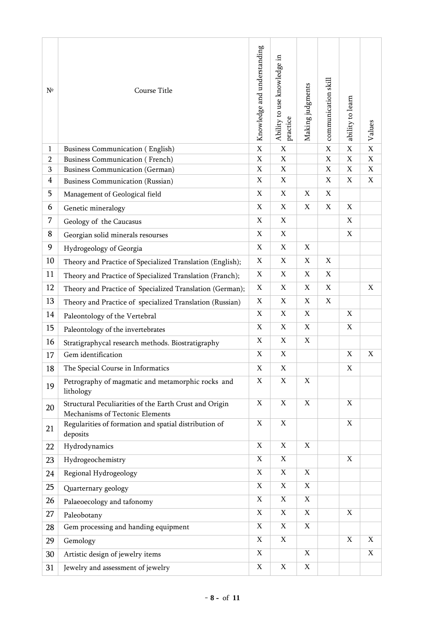| $N^{\circ}$    | Course Title                                                                              | Knowledge and understanding | Ability to use knowledge in<br>practice | Making judgments | communication skill | ability to learn          | Values                    |
|----------------|-------------------------------------------------------------------------------------------|-----------------------------|-----------------------------------------|------------------|---------------------|---------------------------|---------------------------|
| $\mathbf{1}$   | <b>Business Communication (English)</b>                                                   | X                           | X                                       |                  | $\mathbf X$         | X                         | $\mathbf X$               |
| $\overline{2}$ | <b>Business Communication (French)</b>                                                    | $\mathbf X$                 | $\boldsymbol{\mathrm{X}}$               |                  | $\mathbf X$         | $\mathbf X$               | $\mathbf X$               |
| 3              | <b>Business Communication (German)</b>                                                    | $\mathbf X$                 | $\mathbf X$                             |                  | $\mathbf X$         | $\boldsymbol{\mathrm{X}}$ | X                         |
| $\overline{4}$ | <b>Business Communication (Russian)</b>                                                   | $\mathbf X$                 | $\mathbf X$                             |                  | $\mathbf X$         | $\mathbf X$               | $\mathbf X$               |
| 5              | Management of Geological field                                                            | X                           | X                                       | X                | X                   |                           |                           |
| 6              | Genetic mineralogy                                                                        | $\mathbf X$                 | $\mathbf X$                             | $\mathbf X$      | $\mathbf X$         | $\mathbf X$               |                           |
| 7              | Geology of the Caucasus                                                                   | $\mathbf X$                 | $\mathbf X$                             |                  |                     | $\mathbf X$               |                           |
| 8              | Georgian solid minerals resourses                                                         | $\mathbf X$                 | $\mathbf X$                             |                  |                     | $\mathbf X$               |                           |
| 9              | Hydrogeology of Georgia                                                                   | X                           | X                                       | $\mathbf X$      |                     |                           |                           |
| 10             | Theory and Practice of Specialized Translation (English);                                 | X                           | $\mathbf X$                             | $\mathbf X$      | X                   |                           |                           |
| 11             | Theory and Practice of Specialized Translation (Franch);                                  | X                           | X                                       | $\mathbf X$      | $\mathbf X$         |                           |                           |
| 12             | Theory and Practice of Specialized Translation (German);                                  | X                           | $\mathbf X$                             | X                | $\mathbf X$         |                           | X                         |
| 13             | Theory and Practice of specialized Translation (Russian)                                  | X                           | X                                       | $\mathbf X$      | $\mathbf X$         |                           |                           |
| 14             | Paleontology of the Vertebral                                                             | X                           | $\boldsymbol{\mathrm{X}}$               | $\mathbf X$      |                     | $\mathbf X$               |                           |
| 15             | Paleontology of the invertebrates                                                         | $\boldsymbol{\mathrm{X}}$   | $\boldsymbol{\mathrm{X}}$               | $\mathbf X$      |                     | $\mathbf X$               |                           |
| 16             | Stratigraphycal research methods. Biostratigraphy                                         | $\mathbf X$                 | $\mathbf X$                             | $\mathbf X$      |                     |                           |                           |
| 17             | Gem identification                                                                        | $\mathbf X$                 | $\mathbf X$                             |                  |                     | $\mathbf X$               | $\mathbf X$               |
| 18             | The Special Course in Informatics                                                         | $\mathbf X$                 | $\mathbf X$                             |                  |                     | $\mathbf X$               |                           |
| 19             | Petrography of magmatic and metamorphic rocks and<br>lithology                            | X                           | $\mathbf X$                             | $\mathbf X$      |                     |                           |                           |
| 20             | Structural Peculiarities of the Earth Crust and Origin<br>Mechanisms of Tectonic Elements | $\mathbf X$                 | $\mathbf X$                             | $\mathbf X$      |                     | $\mathbf X$               |                           |
| 21             | Regularities of formation and spatial distribution of<br>deposits                         | $\mathbf X$                 | $\overline{\textbf{X}}$                 |                  |                     | $\mathbf X$               |                           |
| 22             | Hydrodynamics                                                                             | $\mathbf X$                 | $\mathbf X$                             | $\mathbf X$      |                     |                           |                           |
| 23             | Hydrogeochemistry                                                                         | $\mathbf X$                 | $\mathbf X$                             |                  |                     | $\mathbf X$               |                           |
| 24             | Regional Hydrogeology                                                                     | $\mathbf X$                 | $\boldsymbol{\mathrm{X}}$               | $\mathbf X$      |                     |                           |                           |
| 25             | Quarternary geology                                                                       | $\mathbf X$                 | $\mathbf X$                             | $\mathbf X$      |                     |                           |                           |
| 26             | Palaeoecology and tafonomy                                                                | $\mathbf X$                 | $\boldsymbol{\mathrm{X}}$               | $\mathbf X$      |                     |                           |                           |
| 27             | Paleobotany                                                                               | $\mathbf X$                 | $\mathbf X$                             | $\mathbf X$      |                     | $\mathbf X$               |                           |
| 28             | Gem processing and handing equipment                                                      | $\mathbf X$                 | $\boldsymbol{\mathrm{X}}$               | $\mathbf X$      |                     |                           |                           |
| 29             | Gemology                                                                                  | $\mathbf X$                 | $\mathbf X$                             |                  |                     | $\mathbf X$               | $\boldsymbol{\mathrm{X}}$ |
| 30             | Artistic design of jewelry items                                                          | $\mathbf X$                 |                                         | $\mathbf X$      |                     |                           | $\mathbf X$               |
| 31             | Jewelry and assessment of jewelry                                                         | $\mathbf X$                 | $\mathbf X$                             | $\mathbf X$      |                     |                           |                           |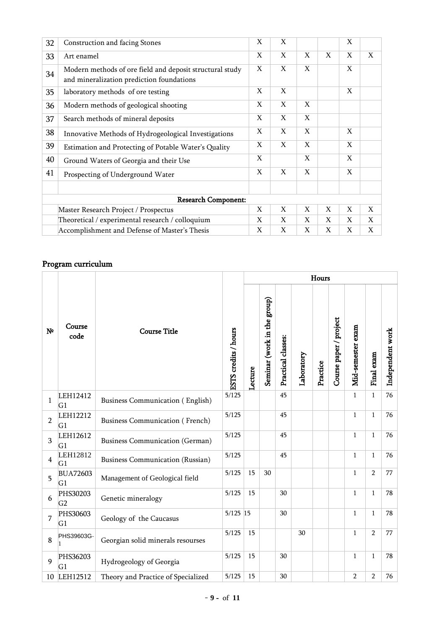| 32 | Construction and facing Stones                                                                        | X | X |   |   | X |   |  |  |  |
|----|-------------------------------------------------------------------------------------------------------|---|---|---|---|---|---|--|--|--|
| 33 | Art enamel                                                                                            | X | X | X | X | X | X |  |  |  |
| 34 | Modern methods of ore field and deposit structural study<br>and mineralization prediction foundations | X | X | X |   | X |   |  |  |  |
| 35 | laboratory methods of ore testing                                                                     | X | X |   |   | X |   |  |  |  |
| 36 | Modern methods of geological shooting                                                                 | X | X | X |   |   |   |  |  |  |
| 37 | Search methods of mineral deposits                                                                    | X | X | X |   |   |   |  |  |  |
| 38 | Innovative Methods of Hydrogeological Investigations                                                  | X | X | X |   | X |   |  |  |  |
| 39 | Estimation and Protecting of Potable Water's Quality                                                  | X | X | X |   | X |   |  |  |  |
| 40 | Ground Waters of Georgia and their Use                                                                | X |   | X |   | X |   |  |  |  |
| 41 | Prospecting of Underground Water                                                                      | X | X | X |   | X |   |  |  |  |
|    |                                                                                                       |   |   |   |   |   |   |  |  |  |
|    | <b>Research Component:</b>                                                                            |   |   |   |   |   |   |  |  |  |
|    | Master Research Project / Prospectus                                                                  | X | X | X | X | X | X |  |  |  |
|    | Theoretical / experimental research / colloquium                                                      | X | X | X | X | X | X |  |  |  |
|    | Accomplishment and Defense of Master's Thesis                                                         | X | X | X | X | X | X |  |  |  |

# Program curriculum

|                |                            |                                         |                      | Hours   |                             |                    |            |          |                        |                   |                |                  |  |
|----------------|----------------------------|-----------------------------------------|----------------------|---------|-----------------------------|--------------------|------------|----------|------------------------|-------------------|----------------|------------------|--|
| N <sup>o</sup> | Course<br>code             | <b>Course Title</b>                     | ESTS credits / hours | Lecture | Seminar (work in the group) | Practical classes: | Laboratory | Practice | Course paper / project | Mid-semester exam | Final exam     | Independent work |  |
| $\mathbf{1}$   | LEH12412<br>G1             | <b>Business Communication (English)</b> | 5/125                |         |                             | 45                 |            |          |                        | $\mathbf{1}$      | $\mathbf{1}$   | 76               |  |
| $\overline{2}$ | LEH12212<br>G1             | <b>Business Communication (French)</b>  | 5/125                |         |                             | 45                 |            |          |                        | $\mathbf{1}$      | 1              | 76               |  |
| 3              | LEH12612<br>G1             | <b>Business Communication (German)</b>  | 5/125                |         |                             | 45                 |            |          |                        | $\mathbf{1}$      | $\mathbf{1}$   | 76               |  |
| $\overline{4}$ | LEH12812<br>G <sub>1</sub> | <b>Business Communication (Russian)</b> | 5/125                |         |                             | 45                 |            |          |                        | $\mathbf{1}$      | $\mathbf{1}$   | 76               |  |
| 5              | <b>BUA72603</b><br>G1      | Management of Geological field          | 5/125                | 15      | 30                          |                    |            |          |                        | $\mathbf{1}$      | $\overline{2}$ | 77               |  |
| 6              | PHS30203<br>G <sub>2</sub> | Genetic mineralogy                      | 5/125                | 15      |                             | 30                 |            |          |                        | $\mathbf{1}$      | 1              | 78               |  |
| 7              | PHS30603<br>G1             | Geology of the Caucasus                 | $5/125$ 15           |         |                             | 30                 |            |          |                        | $\mathbf{1}$      | $\mathbf{1}$   | 78               |  |
| 8              | PHS39603G-                 | Georgian solid minerals resourses       | 5/125                | 15      |                             |                    | 30         |          |                        | $\mathbf 1$       | $\overline{2}$ | 77               |  |
| 9              | PHS36203<br>G1             | Hydrogeology of Georgia                 | 5/125                | 15      |                             | 30                 |            |          |                        | $\mathbf{1}$      | $\mathbf{1}$   | 78               |  |
| 10             | LEH12512                   | Theory and Practice of Specialized      | 5/125                | 15      |                             | 30                 |            |          |                        | $\overline{2}$    | $\overline{2}$ | 76               |  |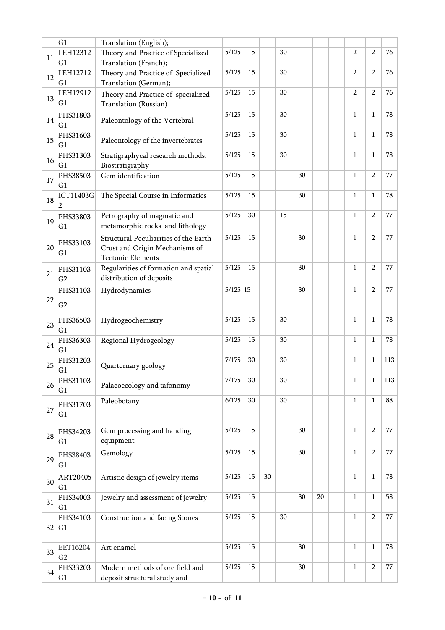|    | G1                         | Translation (English);                                                                              |            |        |    |    |    |    |                |                |     |
|----|----------------------------|-----------------------------------------------------------------------------------------------------|------------|--------|----|----|----|----|----------------|----------------|-----|
| 11 | LEH12312<br>G <sub>1</sub> | Theory and Practice of Specialized<br>Translation (Franch);                                         | 5/125      | 15     |    | 30 |    |    | $\overline{2}$ | $\overline{2}$ | 76  |
| 12 | LEH12712<br>G1             | Theory and Practice of Specialized<br>Translation (German);                                         | 5/125      | 15     |    | 30 |    |    | $\overline{2}$ | $\overline{2}$ | 76  |
| 13 | LEH12912<br>G1             | Theory and Practice of specialized<br>Translation (Russian)                                         | 5/125      | 15     |    | 30 |    |    | $\overline{2}$ | $\overline{2}$ | 76  |
| 14 | PHS31803<br>G1             | Paleontology of the Vertebral                                                                       | 5/125      | 15     |    | 30 |    |    | $\mathbf{1}$   | 1              | 78  |
| 15 | PHS31603<br>G1             | Paleontology of the invertebrates                                                                   | 5/125      | 15     |    | 30 |    |    | $\mathbf{1}$   | $\mathbf{1}$   | 78  |
| 16 | PHS31303<br>G1             | Stratigraphycal research methods.<br>Biostratigraphy                                                | 5/125      | 15     |    | 30 |    |    | $\mathbf{1}$   | 1              | 78  |
| 17 | PHS38503<br>G1             | Gem identification                                                                                  | 5/125      | 15     |    |    | 30 |    | $\mathbf{1}$   | $\overline{2}$ | 77  |
| 18 | ICT11403G                  | The Special Course in Informatics                                                                   | 5/125      | 15     |    |    | 30 |    | $\mathbf 1$    | $\mathbf{1}$   | 78  |
| 19 | PHS33803<br>G1             | Petrography of magmatic and<br>metamorphic rocks and lithology                                      | 5/125      | 30     |    | 15 |    |    | $\mathbf{1}$   | $\overline{2}$ | 77  |
| 20 | PHS33103<br>G <sub>1</sub> | Structural Peculiarities of the Earth<br>Crust and Origin Mechanisms of<br><b>Tectonic Elements</b> | 5/125      | 15     |    |    | 30 |    | $\mathbf{1}$   | $\overline{2}$ | 77  |
| 21 | PHS31103<br>G <sub>2</sub> | Regularities of formation and spatial<br>distribution of deposits                                   | 5/125      | 15     |    |    | 30 |    | $\mathbf{1}$   | 2              | 77  |
| 22 | PHS31103<br>G <sub>2</sub> | Hydrodynamics                                                                                       | $5/125$ 15 |        |    |    | 30 |    | $\mathbf{1}$   | $\overline{2}$ | 77  |
| 23 | PHS36503<br>G1             | Hydrogeochemistry                                                                                   | 5/125      | 15     |    | 30 |    |    | $\mathbf{1}$   | $\mathbf{1}$   | 78  |
| 24 | PHS36303<br>G1             | Regional Hydrogeology                                                                               | 5/125      | 15     |    | 30 |    |    | $\mathbf{1}$   | 1              | 78  |
| 25 | PHS31203<br>G1             | Quarternary geology                                                                                 | 7/175      | 30     |    | 30 |    |    | $\mathbf{1}$   | 1              | 113 |
| 26 | PHS31103<br>G1             | Palaeoecology and tafonomy                                                                          | 7/175      | $30\,$ |    | 30 |    |    | $\mathbf{1}$   | $\mathbf{1}$   | 113 |
| 27 | PHS31703<br>G <sub>1</sub> | Paleobotany                                                                                         | 6/125      | $30\,$ |    | 30 |    |    | $\mathbf{1}$   | $\mathbf{1}$   | 88  |
| 28 | PHS34203<br>G1             | Gem processing and handing<br>equipment                                                             | 5/125      | 15     |    |    | 30 |    | $\mathbf{1}$   | $\overline{2}$ | 77  |
| 29 | PHS38403<br>G1             | Gemology                                                                                            | 5/125      | 15     |    |    | 30 |    | $\mathbf{1}$   | $\overline{2}$ | 77  |
| 30 | ART20405<br>G1             | Artistic design of jewelry items                                                                    | 5/125      | 15     | 30 |    |    |    | $\mathbf 1$    | $\mathbf{1}$   | 78  |
| 31 | PHS34003<br>G1             | Jewelry and assessment of jewelry                                                                   | 5/125      | 15     |    |    | 30 | 20 | $\mathbf{1}$   | $\mathbf{1}$   | 58  |
| 32 | PHS34103<br>G1             | Construction and facing Stones                                                                      | 5/125      | 15     |    | 30 |    |    | $\mathbf{1}$   | $\overline{2}$ | 77  |
| 33 | EET16204<br>G <sub>2</sub> | Art enamel                                                                                          | 5/125      | 15     |    |    | 30 |    | $\mathbf{1}$   | $\mathbf{1}$   | 78  |
| 34 | PHS33203<br>G1             | Modern methods of ore field and<br>deposit structural study and                                     | 5/125      | 15     |    |    | 30 |    | $\mathbf{1}$   | $\overline{2}$ | 77  |